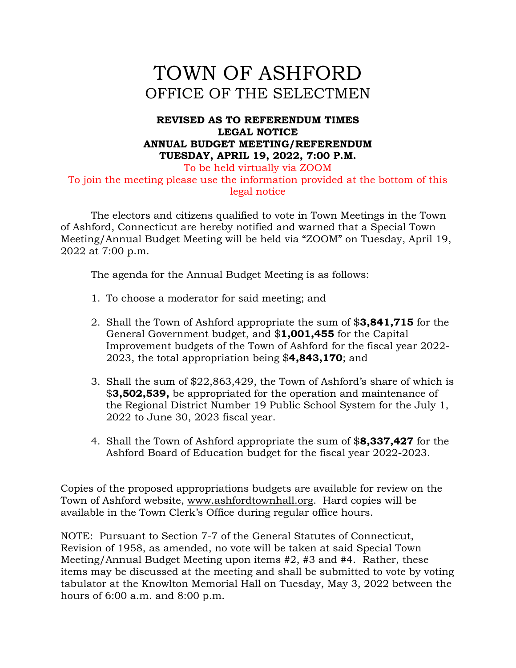# TOWN OF ASHFORD OFFICE OF THE SELECTMEN

### **REVISED AS TO REFERENDUM TIMES LEGAL NOTICE ANNUAL BUDGET MEETING/REFERENDUM TUESDAY, APRIL 19, 2022, 7:00 P.M.**

To be held virtually via ZOOM To join the meeting please use the information provided at the bottom of this legal notice

The electors and citizens qualified to vote in Town Meetings in the Town of Ashford, Connecticut are hereby notified and warned that a Special Town Meeting/Annual Budget Meeting will be held via "ZOOM" on Tuesday, April 19, 2022 at 7:00 p.m.

The agenda for the Annual Budget Meeting is as follows:

- 1. To choose a moderator for said meeting; and
- 2. Shall the Town of Ashford appropriate the sum of \$**3,841,715** for the General Government budget, and \$**1,001,455** for the Capital Improvement budgets of the Town of Ashford for the fiscal year 2022- 2023, the total appropriation being \$**4,843,170**; and
- 3. Shall the sum of \$22,863,429, the Town of Ashford's share of which is \$**3,502,539,** be appropriated for the operation and maintenance of the Regional District Number 19 Public School System for the July 1, 2022 to June 30, 2023 fiscal year.
- 4. Shall the Town of Ashford appropriate the sum of \$**8,337,427** for the Ashford Board of Education budget for the fiscal year 2022-2023.

Copies of the proposed appropriations budgets are available for review on the Town of Ashford website, [www.ashfordtownhall.org.](http://www.ashfordtownhall.org/) Hard copies will be available in the Town Clerk's Office during regular office hours.

NOTE: Pursuant to Section 7-7 of the General Statutes of Connecticut, Revision of 1958, as amended, no vote will be taken at said Special Town Meeting/Annual Budget Meeting upon items #2, #3 and #4. Rather, these items may be discussed at the meeting and shall be submitted to vote by voting tabulator at the Knowlton Memorial Hall on Tuesday, May 3, 2022 between the hours of 6:00 a.m. and 8:00 p.m.